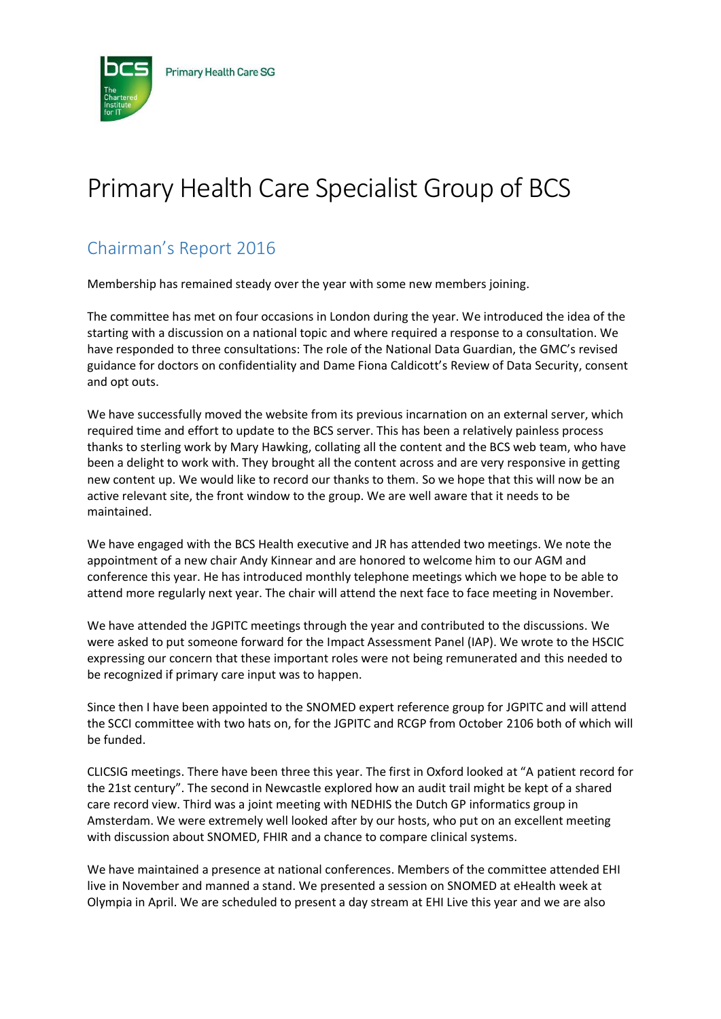

## Primary Health Care Specialist Group of BCS

## Chairman's Report 2016

Membership has remained steady over the year with some new members joining.

The committee has met on four occasions in London during the year. We introduced the idea of the starting with a discussion on a national topic and where required a response to a consultation. We have responded to three consultations: The role of the National Data Guardian, the GMC's revised guidance for doctors on confidentiality and Dame Fiona Caldicott's Review of Data Security, consent and opt outs.

We have successfully moved the website from its previous incarnation on an external server, which required time and effort to update to the BCS server. This has been a relatively painless process thanks to sterling work by Mary Hawking, collating all the content and the BCS web team, who have been a delight to work with. They brought all the content across and are very responsive in getting new content up. We would like to record our thanks to them. So we hope that this will now be an active relevant site, the front window to the group. We are well aware that it needs to be maintained.

We have engaged with the BCS Health executive and JR has attended two meetings. We note the appointment of a new chair Andy Kinnear and are honored to welcome him to our AGM and conference this year. He has introduced monthly telephone meetings which we hope to be able to attend more regularly next year. The chair will attend the next face to face meeting in November.

We have attended the JGPITC meetings through the year and contributed to the discussions. We were asked to put someone forward for the Impact Assessment Panel (IAP). We wrote to the HSCIC expressing our concern that these important roles were not being remunerated and this needed to be recognized if primary care input was to happen.

Since then I have been appointed to the SNOMED expert reference group for JGPITC and will attend the SCCI committee with two hats on, for the JGPITC and RCGP from October 2106 both of which will be funded.

CLICSIG meetings. There have been three this year. The first in Oxford looked at "A patient record for the 21st century". The second in Newcastle explored how an audit trail might be kept of a shared care record view. Third was a joint meeting with NEDHIS the Dutch GP informatics group in Amsterdam. We were extremely well looked after by our hosts, who put on an excellent meeting with discussion about SNOMED, FHIR and a chance to compare clinical systems.

We have maintained a presence at national conferences. Members of the committee attended EHI live in November and manned a stand. We presented a session on SNOMED at eHealth week at Olympia in April. We are scheduled to present a day stream at EHI Live this year and we are also